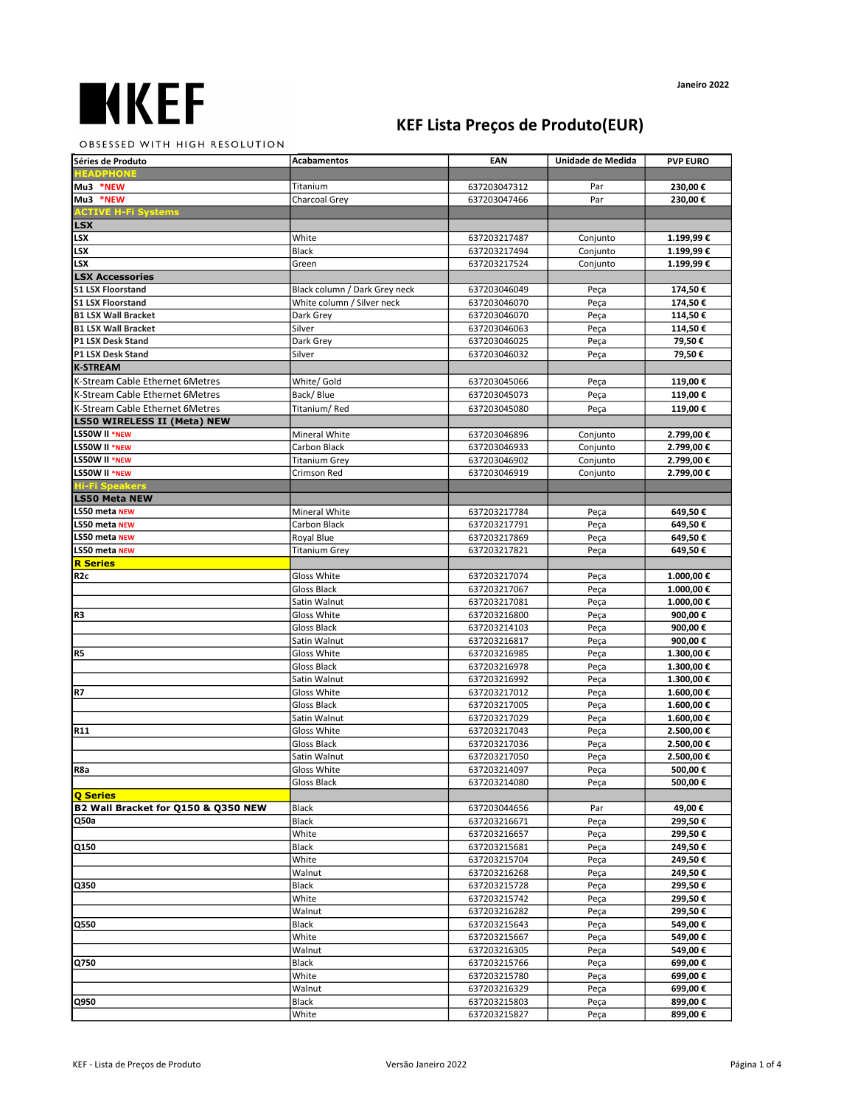## KEF Lista Preços de Produto(EUR)

## Janeiro 2022

OBSESSED WITH HIGH RESOLUTION

| Séries de Produto                               | <b>Acabamentos</b>                   | EAN                          | Unidade de Medida    | <b>PVP EURO</b>        |
|-------------------------------------------------|--------------------------------------|------------------------------|----------------------|------------------------|
| <b>EADPHONE</b>                                 |                                      |                              |                      |                        |
| Mu3 *NEW                                        | Titanium                             | 637203047312                 | Par                  | 230,00€                |
| Mu3 *NEW                                        | Charcoal Grey                        | 637203047466                 | Par                  | 230,00€                |
| <b>ACTIVE H-Fi Systems</b>                      |                                      |                              |                      |                        |
| <b>LSX</b><br>LSX                               | White                                |                              |                      |                        |
| LSX                                             | Black                                | 637203217487<br>637203217494 | Conjunto<br>Conjunto | 1.199,99€<br>1.199,99€ |
| LSX                                             | Green                                | 637203217524                 | Conjunto             | 1.199,99€              |
| <b>LSX Accessories</b>                          |                                      |                              |                      |                        |
| <b>S1 LSX Floorstand</b>                        | Black column / Dark Grey neck        | 637203046049                 | Peça                 | 174,50€                |
| <b>S1 LSX Floorstand</b>                        | White column / Silver neck           | 637203046070                 | Peça                 | 174,50€                |
| <b>B1 LSX Wall Bracket</b>                      | Dark Grey                            | 637203046070                 | Peça                 | 114,50€                |
| <b>B1 LSX Wall Bracket</b>                      | Silver                               | 637203046063                 | Peça                 | 114,50€                |
| P1 LSX Desk Stand                               | Dark Grey                            | 637203046025                 | Peça                 | 79,50€                 |
| P1 LSX Desk Stand                               | Silver                               | 637203046032                 | Peça                 | 79,50€                 |
| <b>K-STREAM</b>                                 |                                      |                              |                      |                        |
| K-Stream Cable Ethernet 6Metres                 | White/ Gold                          | 637203045066                 | Peça                 | 119,00€                |
| K-Stream Cable Ethernet 6Metres                 | Back/Blue                            | 637203045073                 | Peça                 | 119,00€                |
| K-Stream Cable Ethernet 6Metres                 | Titanium/Red                         | 637203045080                 | Peça                 | 119,00€                |
| <b>LS50 WIRELESS II (Meta) NEW</b>              |                                      |                              |                      |                        |
| LS50W II *NEW                                   | Mineral White                        | 637203046896                 | Conjunto             | 2.799,00 €             |
| LS50W II *NEW<br>LS50W II *NEW                  | Carbon Black<br><b>Titanium Grey</b> | 637203046933<br>637203046902 | Conjunto<br>Conjunto | 2.799,00€<br>2.799,00€ |
| LS50W II *NEW                                   | Crimson Red                          | 637203046919                 | Conjunto             | 2.799,00€              |
| <b>Hi-Fi Speakers</b>                           |                                      |                              |                      |                        |
| <b>LS50 Meta NEW</b>                            |                                      |                              |                      |                        |
| LS50 meta NEW                                   | Mineral White                        | 637203217784                 | Peça                 | 649,50€                |
| LS50 meta NEW                                   | Carbon Black                         | 637203217791                 | Peça                 | 649,50€                |
| LS50 meta NEW                                   | Royal Blue                           | 637203217869                 | Peça                 | 649,50€                |
| LS50 meta NEW                                   | <b>Titanium Grey</b>                 | 637203217821                 | Peça                 | 649,50€                |
| <b>R</b> Series                                 |                                      |                              |                      |                        |
| R <sub>2c</sub>                                 | Gloss White                          | 637203217074                 | Peça                 | 1.000,00€              |
|                                                 | Gloss Black                          | 637203217067                 | Peça                 | 1.000,00€              |
|                                                 | Satin Walnut                         | 637203217081                 | Peça                 | 1.000,00€              |
| R3                                              | Gloss White                          | 637203216800                 | Peça                 | 900,00€                |
|                                                 | Gloss Black                          | 637203214103                 | Peça                 | 900,00€                |
| R <sub>5</sub>                                  | Satin Walnut<br>Gloss White          | 637203216817<br>637203216985 | Peça<br>Peça         | 900,00€<br>1.300,00€   |
|                                                 | Gloss Black                          | 637203216978                 | Peça                 | 1.300,00€              |
|                                                 | Satin Walnut                         | 637203216992                 | Peça                 | 1.300,00€              |
| R7                                              | Gloss White                          | 637203217012                 | Peça                 | 1.600,00€              |
|                                                 | Gloss Black                          | 637203217005                 | Peça                 | 1.600,00€              |
|                                                 | Satin Walnut                         | 637203217029                 | Peça                 | 1.600,00€              |
| R11                                             | Gloss White                          | 637203217043                 | Peça                 | 2.500,00€              |
|                                                 | Gloss Black                          | 637203217036                 | Peça                 | 2.500,00€              |
|                                                 | Satin Walnut                         | 637203217050                 | Peça                 | 2.500,00€              |
| R <sub>8</sub> a                                | Gloss White                          | 637203214097                 | Peça                 | 500,00€                |
|                                                 | Gloss Black                          | 637203214080                 | Peça                 | 500,00€                |
| Q Series<br>B2 Wall Bracket for Q150 & Q350 NEW |                                      |                              |                      |                        |
| Q50a                                            | Black<br>Black                       | 637203044656<br>637203216671 | Par<br>Peça          | 49,00€<br>299,50€      |
|                                                 | White                                | 637203216657                 | Peça                 | 299,50€                |
| Q150                                            | Black                                | 637203215681                 | Peça                 | 249,50€                |
|                                                 | White                                | 637203215704                 | Peça                 | 249,50€                |
|                                                 | Walnut                               | 637203216268                 | Peça                 | 249,50€                |
| Q350                                            | <b>Black</b>                         | 637203215728                 | Peça                 | 299,50€                |
|                                                 | White                                | 637203215742                 | Peça                 | 299,50€                |
|                                                 | Walnut                               | 637203216282                 | Peça                 | 299,50€                |
| Q550                                            | Black                                | 637203215643                 | Peça                 | 549,00€                |
|                                                 | White                                | 637203215667                 | Peça                 | 549,00€                |
|                                                 | Walnut                               | 637203216305                 | Peça                 | 549,00€                |
| Q750                                            | Black                                | 637203215766                 | Peça                 | 699,00€                |
|                                                 | White                                | 637203215780                 | Peça                 | 699,00€                |
|                                                 | Walnut                               | 637203216329                 | Peça                 | 699,00€                |
| Q950                                            | Black<br>White                       | 637203215803<br>637203215827 | Peça<br>Peça         | 899,00€<br>899,00€     |
|                                                 |                                      |                              |                      |                        |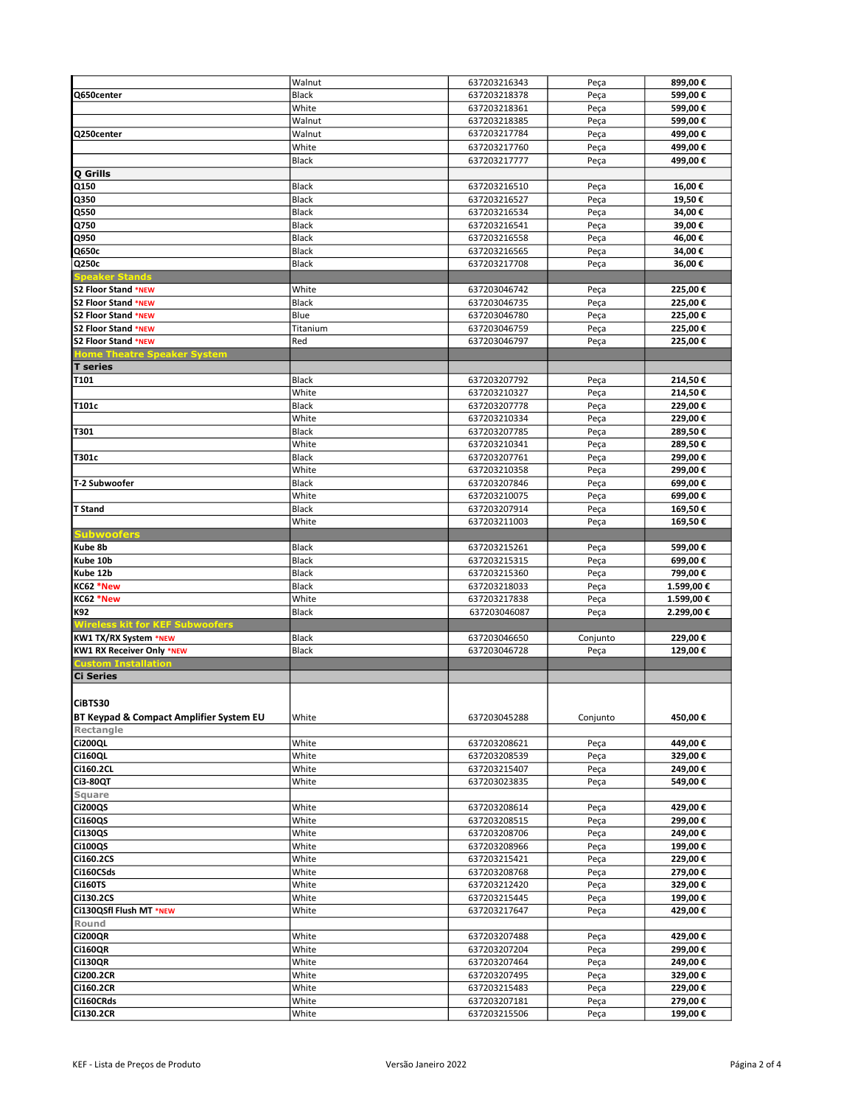|                                                           | Walnut       | 637203216343 | Peça     | 899,00€   |
|-----------------------------------------------------------|--------------|--------------|----------|-----------|
| Q650center                                                | Black        | 637203218378 | Peça     | 599,00€   |
|                                                           | White        | 637203218361 | Peça     | 599,00€   |
|                                                           | Walnut       | 637203218385 | Peça     | 599,00€   |
| Q250center                                                | Walnut       | 637203217784 | Peça     | 499,00€   |
|                                                           | White        | 637203217760 | Peça     | 499,00€   |
|                                                           | Black        | 637203217777 | Peça     | 499,00€   |
| Q Grills                                                  |              |              |          |           |
| $\overline{Q150}$                                         | <b>Black</b> | 637203216510 | Peça     | 16,00€    |
| Q350                                                      | Black        | 637203216527 | Peça     | 19,50€    |
| Q550                                                      | Black        | 637203216534 | Peça     | 34,00€    |
| Q750                                                      | Black        | 637203216541 | Peça     | 39,00€    |
| Q950                                                      | <b>Black</b> | 637203216558 | Peça     | 46,00€    |
| Q650c                                                     | <b>Black</b> | 637203216565 | Peça     | 34,00€    |
| Q250c                                                     | Black        | 637203217708 | Peça     | 36,00€    |
| <b>Speaker Stands</b>                                     |              |              |          |           |
| S2 Floor Stand *NEW                                       | White        | 637203046742 | Peça     | 225,00€   |
| <b>S2 Floor Stand *NEW</b>                                | <b>Black</b> | 637203046735 | Peça     | 225,00€   |
| <b>S2 Floor Stand *NEW</b>                                | Blue         |              |          |           |
| <b>S2 Floor Stand *NEW</b>                                |              | 637203046780 | Peça     | 225,00€   |
|                                                           | Titanium     | 637203046759 | Peça     | 225,00€   |
| S2 Floor Stand *NEW<br><b>Home Theatre Speaker System</b> | Red          | 637203046797 | Peça     | 225,00€   |
|                                                           |              |              |          |           |
| <b>T</b> series                                           |              |              |          |           |
| <b>T101</b>                                               | <b>Black</b> | 637203207792 | Peça     | 214,50€   |
|                                                           | White        | 637203210327 | Peça     | 214,50€   |
| T101c                                                     | <b>Black</b> | 637203207778 | Peça     | 229,00€   |
|                                                           | White        | 637203210334 | Peça     | 229,00€   |
| T301                                                      | Black        | 637203207785 | Peça     | 289,50€   |
|                                                           | White        | 637203210341 | Peça     | 289,50€   |
| T301c                                                     | <b>Black</b> | 637203207761 | Peça     | 299.00€   |
|                                                           | White        | 637203210358 | Peça     | 299,00€   |
| T-2 Subwoofer                                             | <b>Black</b> | 637203207846 | Peça     | 699,00€   |
|                                                           | White        | 637203210075 | Peça     | 699,00€   |
| <b>T</b> Stand                                            | Black        | 637203207914 | Peça     | 169,50€   |
|                                                           | White        | 637203211003 | Peça     | 169,50€   |
| Subwoofers                                                |              |              |          |           |
| Kube 8b                                                   | <b>Black</b> | 637203215261 | Peça     | 599,00€   |
| Kube 10b                                                  | <b>Black</b> | 637203215315 | Peça     | 699,00€   |
| Kube 12b                                                  | <b>Black</b> | 637203215360 | Peça     | 799,00€   |
| KC62 *New                                                 | Black        | 637203218033 | Peça     | 1.599,00€ |
| KC62 *New                                                 | White        | 637203217838 | Peça     | 1.599,00€ |
| K92                                                       | <b>Black</b> | 637203046087 | Peça     | 2.299,00€ |
| <b>Wireless kit for KEF Subwoofers</b>                    |              |              |          |           |
| <b>KW1 TX/RX System *NEW</b>                              | Black        | 637203046650 | Conjunto | 229,00€   |
| <b>KW1 RX Receiver Only *NEW</b>                          | <b>Black</b> | 637203046728 | Peça     | 129,00€   |
| <b>Custom Installation</b>                                |              |              |          |           |
| <b>Ci Series</b>                                          |              |              |          |           |
|                                                           |              |              |          |           |
|                                                           |              |              |          |           |
| CiBTS30                                                   |              |              |          |           |
| BT Keypad & Compact Amplifier System EU                   | White        | 637203045288 | Conjunto | 450,00€   |
| Rectangle                                                 |              |              |          |           |
| <b>Ci200QL</b>                                            | White        | 637203208621 | Peça     | 449,00 €  |
| <b>Ci160QL</b>                                            | White        | 637203208539 | Peça     | 329,00€   |
| Ci160.2CL                                                 | White        | 637203215407 | Peça     | 249,00€   |
| <b>Ci3-80QT</b>                                           | White        | 637203023835 | Peça     | 549,00€   |
| Square                                                    |              |              |          |           |
| <b>Ci200QS</b>                                            | White        | 637203208614 | Peça     | 429,00€   |
| <b>Ci160QS</b>                                            | White        | 637203208515 | Peça     | 299,00€   |
| Ci130QS                                                   | White        | 637203208706 | Peça     | 249,00€   |
| <b>Ci100QS</b>                                            | White        | 637203208966 | Peça     | 199,00€   |
| Ci160.2CS                                                 | White        | 637203215421 | Peça     | 229,00€   |
| Ci160CSds                                                 | White        | 637203208768 | Peça     | 279,00€   |
| <b>Ci160TS</b>                                            | White        | 637203212420 | Peça     | 329,00€   |
| Ci130.2CS                                                 | White        | 637203215445 | Peça     | 199,00€   |
| Ci130QSfl Flush MT *NEW                                   | White        | 637203217647 | Peça     | 429,00€   |
| Round                                                     |              |              |          |           |
| <b>Ci200QR</b>                                            | White        | 637203207488 | Peça     | 429,00 €  |
| <b>Ci160QR</b>                                            | White        | 637203207204 | Peça     | 299,00€   |
| <b>Ci130QR</b>                                            | White        | 637203207464 | Peça     | 249,00€   |
| <b>Ci200.2CR</b>                                          | White        | 637203207495 | Peça     | 329,00€   |
| Ci160.2CR                                                 | White        | 637203215483 | Peça     | 229,00€   |
| Ci160CRds                                                 | White        | 637203207181 | Peça     | 279,00€   |
|                                                           |              |              |          |           |
| Ci130.2CR                                                 | White        | 637203215506 | Peça     | 199,00€   |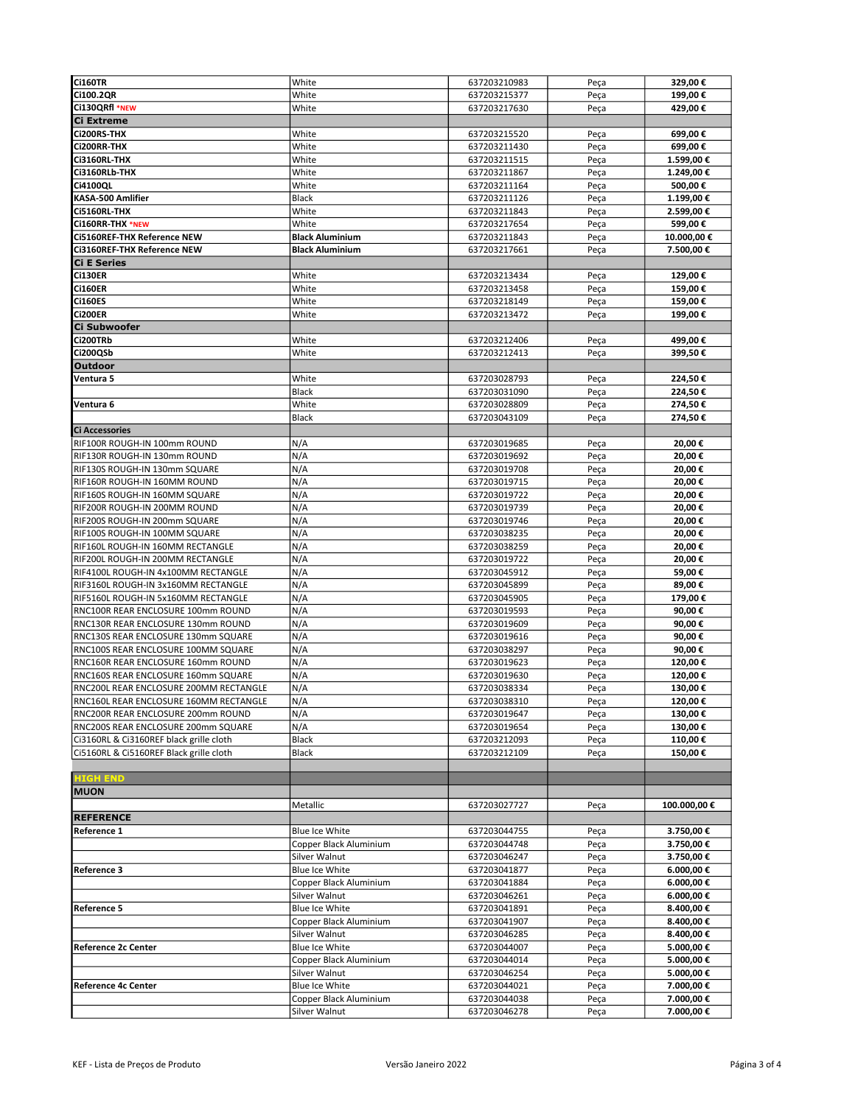| <b>Ci160TR</b>                                                           | White                                            | 637203210983 | Peça | 329,00€                 |
|--------------------------------------------------------------------------|--------------------------------------------------|--------------|------|-------------------------|
| Ci100.2QR                                                                | White                                            | 637203215377 | Peça | 199,00€                 |
| Ci130QRfl *NEW                                                           | White                                            | 637203217630 | Peça | 429,00€                 |
| Ci Extreme                                                               |                                                  |              |      |                         |
| Ci200RS-THX                                                              | White                                            | 637203215520 | Peça | 699,00€                 |
| Ci200RR-THX                                                              | White                                            | 637203211430 | Peça | 699,00€                 |
| Ci3160RL-THX                                                             | White                                            | 637203211515 | Peça | 1.599,00€               |
| Ci3160RLb-THX                                                            | White                                            | 637203211867 | Peça | 1.249,00€               |
| Ci4100QL                                                                 | White                                            | 637203211164 | Peça | 500,00€                 |
| KASA-500 Amlifier                                                        | Black                                            | 637203211126 | Peça | 1.199,00€               |
| Ci5160RL-THX                                                             | White                                            | 637203211843 | Peça | 2.599,00 €              |
| Ci160RR-THX *NEW                                                         | White                                            | 637203217654 | Peça | 599,00€                 |
| <b>Ci5160REF-THX Reference NEW</b><br><b>Ci3160REF-THX Reference NEW</b> | <b>Black Aluminium</b><br><b>Black Aluminium</b> | 637203211843 | Peça | 10.000,00€              |
| <b>Ci E Series</b>                                                       |                                                  | 637203217661 | Peça | 7.500,00€               |
| <b>Ci130ER</b>                                                           | White                                            | 637203213434 | Peça | 129,00€                 |
| <b>Ci160ER</b>                                                           | White                                            | 637203213458 | Peça | 159,00€                 |
| <b>Ci160ES</b>                                                           | White                                            | 637203218149 | Peça | 159,00€                 |
| <b>Ci200ER</b>                                                           | White                                            | 637203213472 | Peça | 199,00€                 |
| Ci Subwoofer                                                             |                                                  |              |      |                         |
| Ci200TRb                                                                 | White                                            | 637203212406 | Peça | 499,00 €                |
| Ci200QSb                                                                 | White                                            | 637203212413 | Peça | 399,50€                 |
| <b>Outdoor</b>                                                           |                                                  |              |      |                         |
| Ventura 5                                                                | White                                            | 637203028793 | Peça | 224,50€                 |
|                                                                          | <b>Black</b>                                     | 637203031090 | Peça | 224,50€                 |
| Ventura 6                                                                | White                                            | 637203028809 | Peça | 274,50€                 |
|                                                                          | <b>Black</b>                                     | 637203043109 | Peça | 274,50€                 |
| <b>Ci Accessories</b>                                                    |                                                  |              |      |                         |
| RIF100R ROUGH-IN 100mm ROUND                                             | N/A                                              | 637203019685 | Peça | 20,00€                  |
| RIF130R ROUGH-IN 130mm ROUND                                             | N/A                                              | 637203019692 | Peça | 20,00€                  |
| RIF130S ROUGH-IN 130mm SQUARE                                            | N/A                                              | 637203019708 | Peça | 20,00€                  |
| RIF160R ROUGH-IN 160MM ROUND                                             | N/A                                              | 637203019715 | Peça | 20,00€                  |
| RIF160S ROUGH-IN 160MM SQUARE                                            | N/A                                              | 637203019722 | Peça | 20,00€                  |
| RIF200R ROUGH-IN 200MM ROUND                                             | N/A                                              | 637203019739 | Peça | 20,00€                  |
| RIF200S ROUGH-IN 200mm SQUARE                                            | N/A                                              | 637203019746 | Peça | 20,00€                  |
| RIF100S ROUGH-IN 100MM SQUARE                                            | N/A                                              | 637203038235 | Peça | 20,00€                  |
| RIF160L ROUGH-IN 160MM RECTANGLE                                         | N/A                                              | 637203038259 | Peça | 20,00€                  |
| RIF200L ROUGH-IN 200MM RECTANGLE                                         | N/A                                              | 637203019722 | Peça | 20,00€                  |
| RIF4100L ROUGH-IN 4x100MM RECTANGLE                                      | N/A                                              | 637203045912 | Peça | 59,00€                  |
| RIF3160L ROUGH-IN 3x160MM RECTANGLE                                      | N/A                                              | 637203045899 | Peça | 89,00€                  |
| RIF5160L ROUGH-IN 5x160MM RECTANGLE                                      | N/A                                              | 637203045905 | Peça | 179,00€                 |
| RNC100R REAR ENCLOSURE 100mm ROUND                                       | N/A                                              | 637203019593 | Peça | 90,00€                  |
| RNC130R REAR ENCLOSURE 130mm ROUND                                       | N/A                                              | 637203019609 | Peça | 90,00€                  |
| RNC130S REAR ENCLOSURE 130mm SQUARE                                      | N/A                                              | 637203019616 | Peça | 90,00€                  |
| RNC100S REAR ENCLOSURE 100MM SQUARE                                      | N/A                                              | 637203038297 | Peça | 90,00€                  |
| RNC160R REAR ENCLOSURE 160mm ROUND                                       | N/A                                              | 637203019623 | Peça | 120,00€                 |
| RNC160S REAR ENCLOSURE 160mm SQUARE                                      | N/A                                              | 637203019630 | Peça | 120,00€                 |
| RNC200L REAR ENCLOSURE 200MM RECTANGLE                                   | N/A                                              | 637203038334 | Peça | 130,00€                 |
| RNC160L REAR ENCLOSURE 160MM RECTANGLE                                   | N/A                                              | 637203038310 | Peça | 120,00 €                |
| RNC200R REAR ENCLOSURE 200mm ROUND                                       | N/A                                              | 637203019647 | Peça | 130,00€                 |
| RNC200S REAR ENCLOSURE 200mm SQUARE                                      | N/A                                              | 637203019654 | Peça | 130,00€                 |
| Ci3160RL & Ci3160REF black grille cloth                                  | Black                                            | 637203212093 | Peça | 110,00€                 |
| Ci5160RL & Ci5160REF Black grille cloth                                  | Black                                            | 637203212109 | Peça | 150,00€                 |
|                                                                          |                                                  |              |      |                         |
| <b>HIGH END</b>                                                          |                                                  |              |      |                         |
| <b>MUON</b>                                                              |                                                  |              |      |                         |
|                                                                          | Metallic                                         | 637203027727 | Peça | 100.000,00€             |
| <b>REFERENCE</b>                                                         |                                                  |              |      |                         |
| <b>Reference 1</b>                                                       | Blue Ice White                                   | 637203044755 | Peça | 3.750,00€               |
|                                                                          | Copper Black Aluminium                           | 637203044748 | Peça | 3.750,00€               |
|                                                                          | Silver Walnut                                    | 637203046247 | Peça | 3.750,00€               |
| <b>Reference 3</b>                                                       | Blue Ice White                                   | 637203041877 | Peça | 6.000,00€               |
|                                                                          | Copper Black Aluminium                           | 637203041884 | Peça | 6.000,00€               |
|                                                                          | Silver Walnut                                    | 637203046261 | Peça | 6.000,00€               |
| <b>Reference 5</b>                                                       | Blue Ice White                                   | 637203041891 | Peça | 8.400,00 €              |
|                                                                          | Copper Black Aluminium                           | 637203041907 | Peça | 8.400,00€               |
|                                                                          | Silver Walnut                                    | 637203046285 | Peça | 8.400,00 €              |
| Reference 2c Center                                                      | Blue Ice White                                   | 637203044007 | Peça | 5.000,00€               |
|                                                                          | Copper Black Aluminium                           | 637203044014 | Peça | 5.000,00€               |
|                                                                          | Silver Walnut                                    | 637203046254 | Peça | 5.000,00€               |
| <b>Reference 4c Center</b>                                               | Blue Ice White                                   | 637203044021 | Peça | 7.000,00 €              |
|                                                                          | Copper Black Aluminium<br>Silver Walnut          | 637203044038 | Peça | 7.000,00€<br>7.000,00 € |
|                                                                          |                                                  | 637203046278 | Peça |                         |